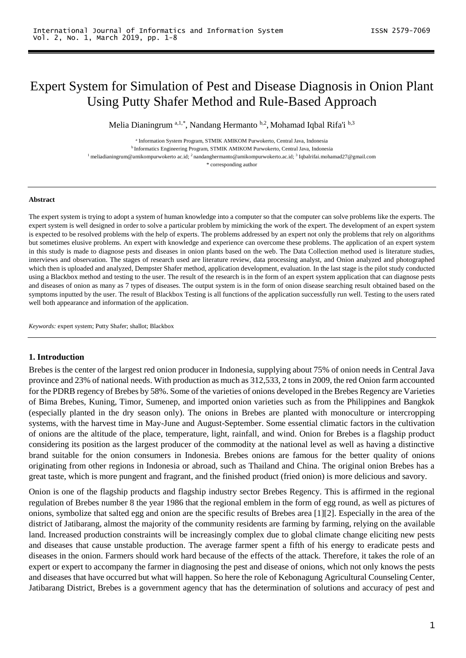# Expert System for Simulation of Pest and Disease Diagnosis in Onion Plant Using Putty Shafer Method and Rule-Based Approach

Melia Dianingrum a,1,\*, Nandang Hermanto b,2, Mohamad Iqbal Rifa'i b,3

<sup>a</sup> Information System Program, STMIK AMIKOM Purwokerto, Central Java, Indonesia

<sup>b</sup> Informatics Engineering Program, STMIK AMIKOM Purwokerto, Central Java, Indonesia

<sup>1</sup> meliadianingrum@amikompurwokerto ac.id; <sup>2</sup> [nandanghermanto@amikompurwokerto.ac.id;](mailto:nandanghermanto@amikompurwokerto.ac.id) <sup>3</sup> Iqbalrifai.mohamad27@gmail.com

\* corresponding author

#### **Abstract**

The expert system is trying to adopt a system of human knowledge into a computer so that the computer can solve problems like the experts. The expert system is well designed in order to solve a particular problem by mimicking the work of the expert. The development of an expert system is expected to be resolved problems with the help of experts. The problems addressed by an expert not only the problems that rely on algorithms but sometimes elusive problems. An expert with knowledge and experience can overcome these problems. The application of an expert system in this study is made to diagnose pests and diseases in onion plants based on the web. The Data Collection method used is literature studies, interviews and observation. The stages of research used are literature review, data processing analyst, and Onion analyzed and photographed which then is uploaded and analyzed, Dempster Shafer method, application development, evaluation. In the last stage is the pilot study conducted using a Blackbox method and testing to the user. The result of the research is in the form of an expert system application that can diagnose pests and diseases of onion as many as 7 types of diseases. The output system is in the form of onion disease searching result obtained based on the symptoms inputted by the user. The result of Blackbox Testing is all functions of the application successfully run well. Testing to the users rated well both appearance and information of the application.

*Keywords:* expert system; Putty Shafer; shallot; Blackbox

#### **1. Introduction**

Brebes is the center of the largest red onion producer in Indonesia, supplying about 75% of onion needs in Central Java province and 23% of national needs. With production as much as 312,533, 2 tons in 2009, the red Onion farm accounted for the PDRB regency of Brebes by 58%. Some of the varieties of onions developed in the Brebes Regency are Varieties of Bima Brebes, Kuning, Timor, Sumenep, and imported onion varieties such as from the Philippines and Bangkok (especially planted in the dry season only). The onions in Brebes are planted with monoculture or intercropping systems, with the harvest time in May-June and August-September. Some essential climatic factors in the cultivation of onions are the altitude of the place, temperature, light, rainfall, and wind. Onion for Brebes is a flagship product considering its position as the largest producer of the commodity at the national level as well as having a distinctive brand suitable for the onion consumers in Indonesia. Brebes onions are famous for the better quality of onions originating from other regions in Indonesia or abroad, such as Thailand and China. The original onion Brebes has a great taste, which is more pungent and fragrant, and the finished product (fried onion) is more delicious and savory.

Onion is one of the flagship products and flagship industry sector Brebes Regency. This is affirmed in the regional regulation of Brebes number 8 the year 1986 that the regional emblem in the form of egg round, as well as pictures of onions, symbolize that salted egg and onion are the specific results of Brebes area [1][2]. Especially in the area of the district of Jatibarang, almost the majority of the community residents are farming by farming, relying on the available land. Increased production constraints will be increasingly complex due to global climate change eliciting new pests and diseases that cause unstable production. The average farmer spent a fifth of his energy to eradicate pests and diseases in the onion. Farmers should work hard because of the effects of the attack. Therefore, it takes the role of an expert or expert to accompany the farmer in diagnosing the pest and disease of onions, which not only knows the pests and diseases that have occurred but what will happen. So here the role of Kebonagung Agricultural Counseling Center, Jatibarang District, Brebes is a government agency that has the determination of solutions and accuracy of pest and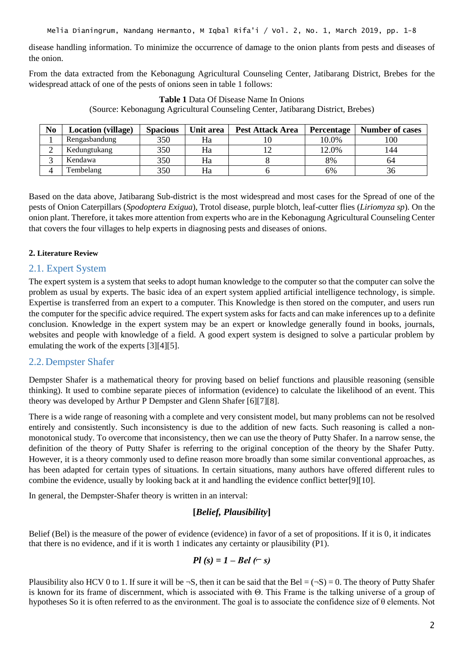disease handling information. To minimize the occurrence of damage to the onion plants from pests and diseases of the onion.

From the data extracted from the Kebonagung Agricultural Counseling Center, Jatibarang District, Brebes for the widespread attack of one of the pests of onions seen in table 1 follows:

| N <sub>0</sub> | <b>Location</b> (village) | <b>Spacious</b> | Unit area | Pest Attack Area | <b>Percentage</b> | <b>Number of cases</b> |
|----------------|---------------------------|-----------------|-----------|------------------|-------------------|------------------------|
|                | Rengasbandung             | 350             | Ha        |                  | 10.0%             | 100                    |
|                | Kedungtukang              | 350             | Ha        |                  | 12.0%             | 144                    |
|                | Kendawa                   | 350             | Ha        |                  | 8%                | 64                     |
|                | <b>Tembelang</b>          | 350             | Ha        |                  | 6%                | 36                     |

# **Table 1** Data Of Disease Name In Onions

(Source: Kebonagung Agricultural Counseling Center, Jatibarang District, Brebes)

Based on the data above, Jatibarang Sub-district is the most widespread and most cases for the Spread of one of the pests of Onion Caterpillars (*Spodoptera Exigua*), Trotol disease, purple blotch, leaf-cutter flies (*Liriomyza sp*). On the onion plant. Therefore, it takes more attention from experts who are in the Kebonagung Agricultural Counseling Center that covers the four villages to help experts in diagnosing pests and diseases of onions.

### **2. Literature Review**

### 2.1. Expert System

The expert system is a system that seeks to adopt human knowledge to the computer so that the computer can solve the problem as usual by experts. The basic idea of an expert system applied artificial intelligence technology, is simple. Expertise is transferred from an expert to a computer. This Knowledge is then stored on the computer, and users run the computer for the specific advice required. The expert system asks for facts and can make inferences up to a definite conclusion. Knowledge in the expert system may be an expert or knowledge generally found in books, journals, websites and people with knowledge of a field. A good expert system is designed to solve a particular problem by emulating the work of the experts [3][4][5].

# 2.2. Dempster Shafer

Dempster Shafer is a mathematical theory for proving based on belief functions and plausible reasoning (sensible thinking). It used to combine separate pieces of information (evidence) to calculate the likelihood of an event. This theory was developed by Arthur P Dempster and Glenn Shafer [6][7][8].

There is a wide range of reasoning with a complete and very consistent model, but many problems can not be resolved entirely and consistently. Such inconsistency is due to the addition of new facts. Such reasoning is called a nonmonotonical study. To overcome that inconsistency, then we can use the theory of Putty Shafer. In a narrow sense, the definition of the theory of Putty Shafer is referring to the original conception of the theory by the Shafer Putty. However, it is a theory commonly used to define reason more broadly than some similar conventional approaches, as has been adapted for certain types of situations. In certain situations, many authors have offered different rules to combine the evidence, usually by looking back at it and handling the evidence conflict better[9][10].

In general, the Dempster-Shafer theory is written in an interval:

# **[***Belief, Plausibility***]**

Belief (Bel) is the measure of the power of evidence (evidence) in favor of a set of propositions. If it is 0, it indicates that there is no evidence, and if it is worth 1 indicates any certainty or plausibility (P1).

$$
Pl(s) = 1 - Bel(-s)
$$

Plausibility also HCV 0 to 1. If sure it will be  $\neg S$ , then it can be said that the Bel =  $(\neg S) = 0$ . The theory of Putty Shafer is known for its frame of discernment, which is associated with Θ. This Frame is the talking universe of a group of hypotheses So it is often referred to as the environment. The goal is to associate the confidence size of θ elements. Not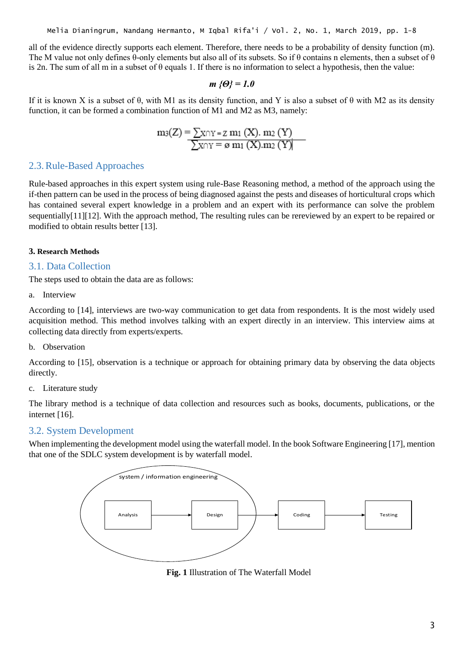all of the evidence directly supports each element. Therefore, there needs to be a probability of density function (m). The M value not only defines  $\theta$ -only elements but also all of its subsets. So if  $\theta$  contains n elements, then a subset of  $\theta$ is 2n. The sum of all m in a subset of  $\theta$  equals 1. If there is no information to select a hypothesis, then the value:

$$
m \left\{ \Theta \right\} = 1.0
$$

If it is known X is a subset of  $\theta$ , with M1 as its density function, and Y is also a subset of  $\theta$  with M2 as its density function, it can be formed a combination function of M1 and M2 as M3, namely:

$$
m_3(Z) = \frac{\sum x \cap Y = Z m_1(X) \cdot m_2(Y)}{\sum x \cap Y = \varnothing m_1(X) \cdot m_2(Y)}
$$

# 2.3.Rule-Based Approaches

Rule-based approaches in this expert system using rule-Base Reasoning method, a method of the approach using the if-then pattern can be used in the process of being diagnosed against the pests and diseases of horticultural crops which has contained several expert knowledge in a problem and an expert with its performance can solve the problem sequentially[11][12]. With the approach method, The resulting rules can be rereviewed by an expert to be repaired or modified to obtain results better [13].

### **3. Research Methods**

# 3.1. Data Collection

The steps used to obtain the data are as follows:

a. Interview

According to [14], interviews are two-way communication to get data from respondents. It is the most widely used acquisition method. This method involves talking with an expert directly in an interview. This interview aims at collecting data directly from experts/experts.

b. Observation

According to [15], observation is a technique or approach for obtaining primary data by observing the data objects directly.

c. Literature study

The library method is a technique of data collection and resources such as books, documents, publications, or the internet [16].

# 3.2. System Development

When implementing the development model using the waterfall model. In the book Software Engineering [17], mention that one of the SDLC system development is by waterfall model.



**Fig. 1** Illustration of The Waterfall Model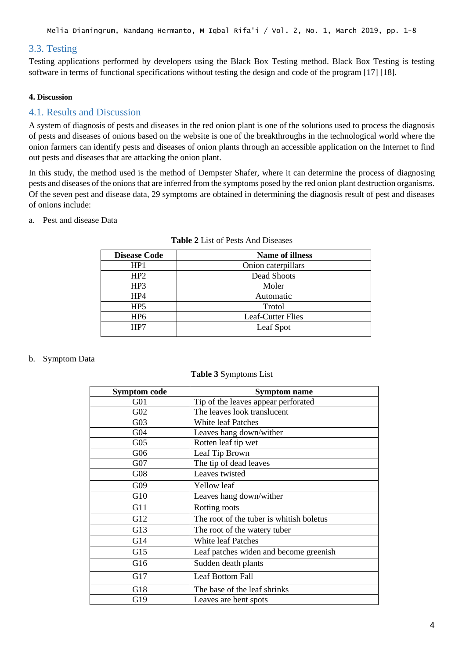Melia Dianingrum, Nandang Hermanto, M Iqbal Rifa'i / Vol. 2, No. 1, March 2019, pp. 1-8

# 3.3. Testing

Testing applications performed by developers using the Black Box Testing method. Black Box Testing is testing software in terms of functional specifications without testing the design and code of the program [17] [18].

### **4. Discussion**

# 4.1. Results and Discussion

A system of diagnosis of pests and diseases in the red onion plant is one of the solutions used to process the diagnosis of pests and diseases of onions based on the website is one of the breakthroughs in the technological world where the onion farmers can identify pests and diseases of onion plants through an accessible application on the Internet to find out pests and diseases that are attacking the onion plant.

In this study, the method used is the method of Dempster Shafer, where it can determine the process of diagnosing pests and diseases of the onions that are inferred from the symptoms posed by the red onion plant destruction organisms. Of the seven pest and disease data, 29 symptoms are obtained in determining the diagnosis result of pest and diseases of onions include:

### a. Pest and disease Data

| <b>Disease Code</b> | <b>Name of illness</b> |
|---------------------|------------------------|
| HP1                 | Onion caterpillars     |
| HP2                 | Dead Shoots            |
| HP3                 | Moler                  |
| HP4                 | Automatic              |
| HP <sub>5</sub>     | Trotol                 |
| HP <sub>6</sub>     | Leaf-Cutter Flies      |
| HP7                 | Leaf Spot              |

#### **Table 2** List of Pests And Diseases

### b. Symptom Data

### **Table 3** Symptoms List

| <b>Symptom code</b> | <b>Symptom name</b>                      |
|---------------------|------------------------------------------|
| G01                 | Tip of the leaves appear perforated      |
| G02                 | The leaves look translucent              |
| G03                 | <b>White leaf Patches</b>                |
| G <sub>04</sub>     | Leaves hang down/wither                  |
| G05                 | Rotten leaf tip wet                      |
| G06                 | Leaf Tip Brown                           |
| G07                 | The tip of dead leaves                   |
| G08                 | Leaves twisted                           |
| G09                 | <b>Yellow</b> leaf                       |
| G10                 | Leaves hang down/wither                  |
| G11                 | Rotting roots                            |
| G12                 | The root of the tuber is whitish boletus |
| G13                 | The root of the watery tuber             |
| G14                 | <b>White leaf Patches</b>                |
| G15                 | Leaf patches widen and become greenish   |
| G16                 | Sudden death plants                      |
| G17                 | Leaf Bottom Fall                         |
| G18                 | The base of the leaf shrinks             |
| G19                 | Leaves are bent spots                    |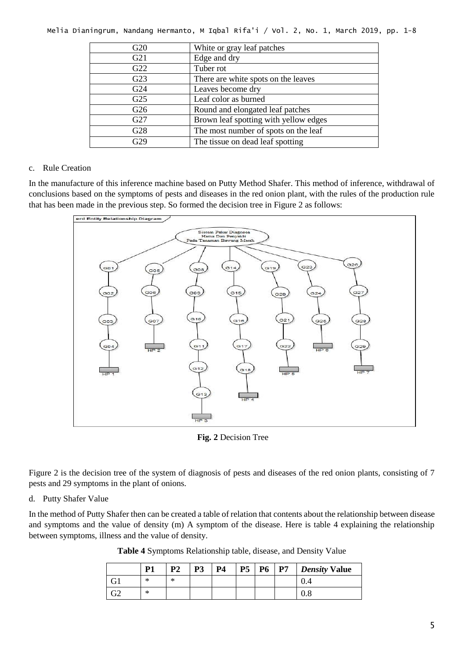| G20             | White or gray leaf patches            |  |  |
|-----------------|---------------------------------------|--|--|
| G21             | Edge and dry                          |  |  |
| G22             | Tuber rot                             |  |  |
| G23             | There are white spots on the leaves   |  |  |
| G <sub>24</sub> | Leaves become dry                     |  |  |
| G <sub>25</sub> | Leaf color as burned                  |  |  |
| G26             | Round and elongated leaf patches      |  |  |
| G27             | Brown leaf spotting with yellow edges |  |  |
| G28             | The most number of spots on the leaf  |  |  |
| G29             | The tissue on dead leaf spotting      |  |  |

Melia Dianingrum, Nandang Hermanto, M Iqbal Rifa'i / Vol. 2, No. 1, March 2019, pp. 1-8

### c. Rule Creation

In the manufacture of this inference machine based on Putty Method Shafer. This method of inference, withdrawal of conclusions based on the symptoms of pests and diseases in the red onion plant, with the rules of the production rule that has been made in the previous step. So formed the decision tree in Figure 2 as follows:



**Fig. 2** Decision Tree

Figure 2 is the decision tree of the system of diagnosis of pests and diseases of the red onion plants, consisting of 7 pests and 29 symptoms in the plant of onions.

### d. Putty Shafer Value

In the method of Putty Shafer then can be created a table of relation that contents about the relationship between disease and symptoms and the value of density (m) A symptom of the disease. Here is table 4 explaining the relationship between symptoms, illness and the value of density.

|  | Table 4 Symptoms Relationship table, disease, and Density Value |  |  |
|--|-----------------------------------------------------------------|--|--|
|  |                                                                 |  |  |

|           | P <sub>1</sub> | D) | P <sub>3</sub> | <b>P4</b> | P <sub>5</sub> | <b>P6</b> | P7 | <b>Density Value</b> |
|-----------|----------------|----|----------------|-----------|----------------|-----------|----|----------------------|
|           | $^{\ast}$      | ∗  |                |           |                |           |    | v.4                  |
| מר<br>ے ت | ∗              |    |                |           |                |           |    | v.o                  |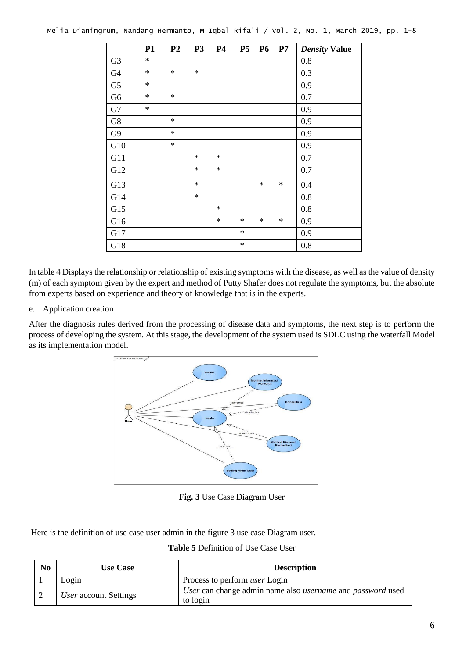|                | <b>P1</b> | P <sub>2</sub> | <b>P3</b> | <b>P4</b> | P <sub>5</sub> | <b>P6</b> | P7     | <b>Density Value</b> |
|----------------|-----------|----------------|-----------|-----------|----------------|-----------|--------|----------------------|
| G <sub>3</sub> | $\ast$    |                |           |           |                |           |        | 0.8                  |
| G4             | $\ast$    | $\ast$         | $\ast$    |           |                |           |        | 0.3                  |
| G <sub>5</sub> | $\ast$    |                |           |           |                |           |        | 0.9                  |
| G <sub>6</sub> | $\ast$    | $\ast$         |           |           |                |           |        | 0.7                  |
| G7             | $\star$   |                |           |           |                |           |        | 0.9                  |
| G8             |           | $\ast$         |           |           |                |           |        | 0.9                  |
| G <sub>9</sub> |           | $\ast$         |           |           |                |           |        | 0.9                  |
| G10            |           | $\ast$         |           |           |                |           |        | 0.9                  |
| G11            |           |                | $\ast$    | $\ast$    |                |           |        | 0.7                  |
| G12            |           |                | $\ast$    | $\ast$    |                |           |        | 0.7                  |
| G13            |           |                | $\ast$    |           |                | $\ast$    | $\ast$ | 0.4                  |
| G14            |           |                | $\ast$    |           |                |           |        | 0.8                  |
| G15            |           |                |           | $\ast$    |                |           |        | 0.8                  |
| G16            |           |                |           | $\ast$    | $\ast$         | $\ast$    | $\ast$ | 0.9                  |
| G17            |           |                |           |           | $\ast$         |           |        | 0.9                  |
| G18            |           |                |           |           | $\ast$         |           |        | 0.8                  |

In table 4 Displays the relationship or relationship of existing symptoms with the disease, as well as the value of density (m) of each symptom given by the expert and method of Putty Shafer does not regulate the symptoms, but the absolute from experts based on experience and theory of knowledge that is in the experts.

### e. Application creation

After the diagnosis rules derived from the processing of disease data and symptoms, the next step is to perform the process of developing the system. At this stage, the development of the system used is SDLC using the waterfall Model as its implementation model.



**Fig. 3** Use Case Diagram User

Here is the definition of use case user admin in the figure 3 use case Diagram user.

**Table 5** Definition of Use Case User

| N <sub>0</sub> | <b>Use Case</b>              | <b>Description</b>                                                                   |
|----------------|------------------------------|--------------------------------------------------------------------------------------|
|                | Login                        | Process to perform <i>user</i> Login                                                 |
|                | <i>User</i> account Settings | User can change admin name also <i>username</i> and <i>password</i> used<br>to login |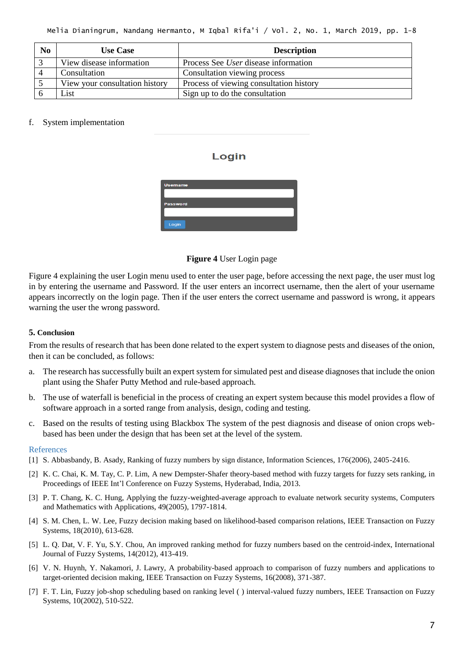| N <sub>0</sub> | <b>Use Case</b>                | <b>Description</b>                          |
|----------------|--------------------------------|---------------------------------------------|
|                | View disease information       | Process See <i>User</i> disease information |
|                | Consultation                   | Consultation viewing process                |
|                | View your consultation history | Process of viewing consultation history     |
|                | List                           | Sign up to do the consultation              |

#### f. System implementation

### Login



#### **Figure 4** User Login page

Figure 4 explaining the user Login menu used to enter the user page, before accessing the next page, the user must log in by entering the username and Password. If the user enters an incorrect username, then the alert of your username appears incorrectly on the login page. Then if the user enters the correct username and password is wrong, it appears warning the user the wrong password.

#### **5. Conclusion**

From the results of research that has been done related to the expert system to diagnose pests and diseases of the onion, then it can be concluded, as follows:

- a. The research has successfully built an expert system for simulated pest and disease diagnoses that include the onion plant using the Shafer Putty Method and rule-based approach.
- b. The use of waterfall is beneficial in the process of creating an expert system because this model provides a flow of software approach in a sorted range from analysis, design, coding and testing.
- c. Based on the results of testing using Blackbox The system of the pest diagnosis and disease of onion crops webbased has been under the design that has been set at the level of the system.

#### References

- [1] S. Abbasbandy, B. Asady, Ranking of fuzzy numbers by sign distance, Information Sciences, 176(2006), 2405-2416.
- [2] K. C. Chai, K. M. Tay, C. P. Lim, A new Dempster-Shafer theory-based method with fuzzy targets for fuzzy sets ranking, in Proceedings of IEEE Int'l Conference on Fuzzy Systems, Hyderabad, India, 2013.
- [3] P. T. Chang, K. C. Hung, Applying the fuzzy-weighted-average approach to evaluate network security systems, Computers and Mathematics with Applications, 49(2005), 1797-1814.
- [4] S. M. Chen, L. W. Lee, Fuzzy decision making based on likelihood-based comparison relations, IEEE Transaction on Fuzzy Systems, 18(2010), 613-628.
- [5] L. Q. Dat, V. F. Yu, S.Y. Chou, An improved ranking method for fuzzy numbers based on the centroid-index, International Journal of Fuzzy Systems, 14(2012), 413-419.
- [6] V. N. Huynh, Y. Nakamori, J. Lawry, A probability-based approach to comparison of fuzzy numbers and applications to target-oriented decision making, IEEE Transaction on Fuzzy Systems, 16(2008), 371-387.
- [7] F. T. Lin, Fuzzy job-shop scheduling based on ranking level ( ) interval-valued fuzzy numbers, IEEE Transaction on Fuzzy Systems, 10(2002), 510-522.